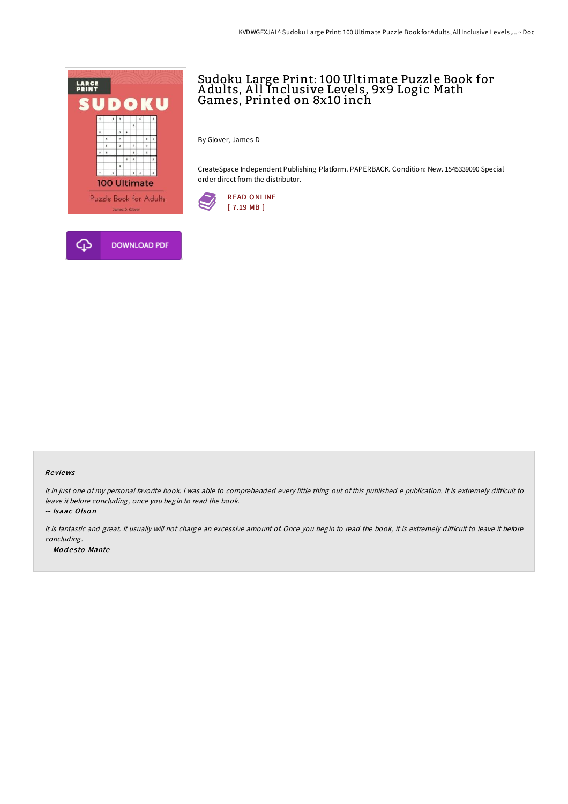



By Glover, James D

CreateSpace Independent Publishing Platform. PAPERBACK. Condition: New. 1545339090 Special order direct from the distributor.



### Re views

It in just one of my personal favorite book. I was able to comprehended every little thing out of this published e publication. It is extremely difficult to leave it before concluding, once you begin to read the book.

-- Isaac Olson

It is fantastic and great. It usually will not charge an excessive amount of. Once you begin to read the book, it is extremely difficult to leave it before concluding. -- Modesto Mante